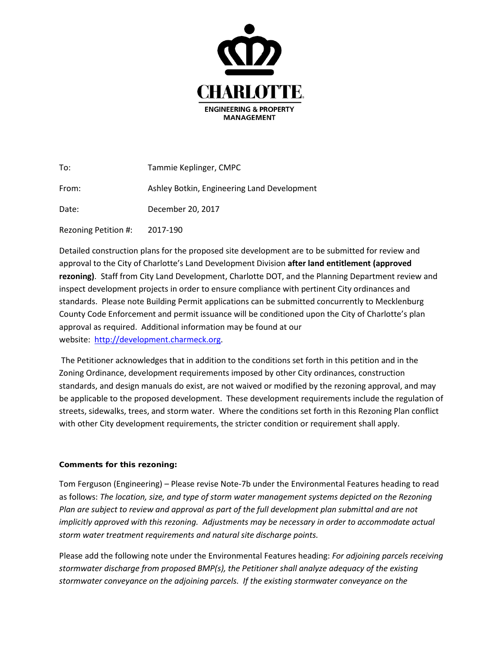

| To:                  | Tammie Keplinger, CMPC                      |
|----------------------|---------------------------------------------|
| From:                | Ashley Botkin, Engineering Land Development |
| Date:                | December 20, 2017                           |
| Rezoning Petition #: | 2017-190                                    |

Detailed construction plans for the proposed site development are to be submitted for review and approval to the City of Charlotte's Land Development Division **after land entitlement (approved rezoning)**. Staff from City Land Development, Charlotte DOT, and the Planning Department review and inspect development projects in order to ensure compliance with pertinent City ordinances and standards. Please note Building Permit applications can be submitted concurrently to Mecklenburg County Code Enforcement and permit issuance will be conditioned upon the City of Charlotte's plan approval as required. Additional information may be found at our website: [http://development.charmeck.org.](http://development.charmeck.org/)

The Petitioner acknowledges that in addition to the conditions set forth in this petition and in the Zoning Ordinance, development requirements imposed by other City ordinances, construction standards, and design manuals do exist, are not waived or modified by the rezoning approval, and may be applicable to the proposed development. These development requirements include the regulation of streets, sidewalks, trees, and storm water. Where the conditions set forth in this Rezoning Plan conflict with other City development requirements, the stricter condition or requirement shall apply.

## **Comments for this rezoning:**

Tom Ferguson (Engineering) – Please revise Note-7b under the Environmental Features heading to read as follows: *The location, size, and type of storm water management systems depicted on the Rezoning Plan are subject to review and approval as part of the full development plan submittal and are not implicitly approved with this rezoning. Adjustments may be necessary in order to accommodate actual storm water treatment requirements and natural site discharge points.*

Please add the following note under the Environmental Features heading: *For adjoining parcels receiving stormwater discharge from proposed BMP(s), the Petitioner shall analyze adequacy of the existing stormwater conveyance on the adjoining parcels. If the existing stormwater conveyance on the*